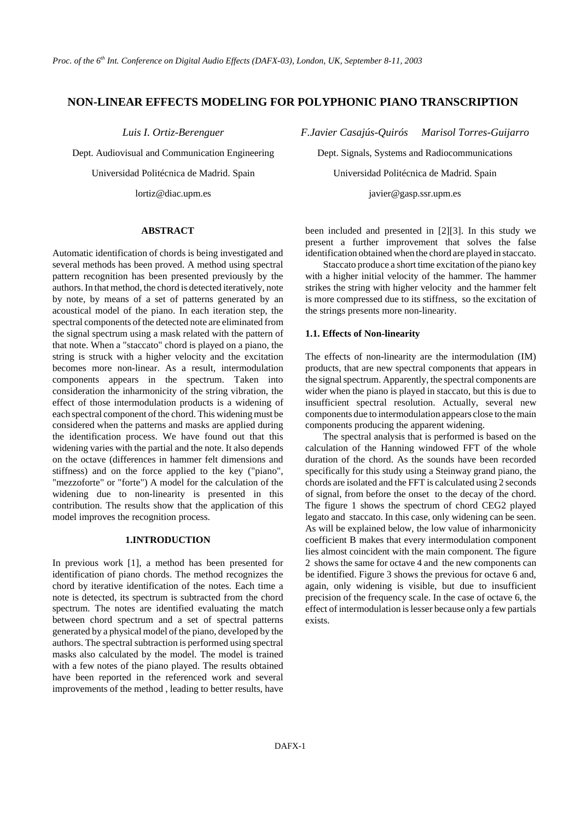# **NON-LINEAR EFFECTS MODELING FOR POLYPHONIC PIANO TRANSCRIPTION**

## **ABSTRACT**

Automatic identification of chords is being investigated and several methods has been proved. A method using spectral pattern recognition has been presented previously by the authors. In that method, the chord is detected iteratively, note by note, by means of a set of patterns generated by an acoustical model of the piano. In each iteration step, the spectral components of the detected note are eliminated from the signal spectrum using a mask related with the pattern of that note. When a "staccato" chord is played on a piano, the string is struck with a higher velocity and the excitation becomes more non-linear. As a result, intermodulation components appears in the spectrum. Taken into consideration the inharmonicity of the string vibration, the effect of those intermodulation products is a widening of each spectral component of the chord. This widening must be considered when the patterns and masks are applied during the identification process. We have found out that this widening varies with the partial and the note. It also depends on the octave (differences in hammer felt dimensions and stiffness) and on the force applied to the key ("piano", "mezzoforte" or "forte") A model for the calculation of the widening due to non-linearity is presented in this contribution. The results show that the application of this model improves the recognition process.

## **1.INTRODUCTION**

In previous work [1], a method has been presented for identification of piano chords. The method recognizes the chord by iterative identification of the notes. Each time a note is detected, its spectrum is subtracted from the chord spectrum. The notes are identified evaluating the match between chord spectrum and a set of spectral patterns generated by a physical model of the piano, developed by the authors. The spectral subtraction is performed using spectral masks also calculated by the model. The model is trained with a few notes of the piano played. The results obtained have been reported in the referenced work and several improvements of the method , leading to better results, have

*Luis I. Ortiz-Berenguer F.Javier Casajús-Quirós Marisol Torres-Guijarro*

Dept. Audiovisual and Communication Engineering Dept. Signals, Systems and Radiocommunications Universidad Politécnica de Madrid. Spain Universidad Politécnica de Madrid. Spain

lortiz@diac.upm.es javier@gasp.ssr.upm.es

been included and presented in [2][3]. In this study we present a further improvement that solves the false identification obtained when the chord are played in staccato.

Staccato produce a short time excitation of the piano key with a higher initial velocity of the hammer. The hammer strikes the string with higher velocity and the hammer felt is more compressed due to its stiffness, so the excitation of the strings presents more non-linearity.

#### **1.1. Effects of Non-linearity**

The effects of non-linearity are the intermodulation (IM) products, that are new spectral components that appears in the signal spectrum. Apparently, the spectral components are wider when the piano is played in staccato, but this is due to insufficient spectral resolution. Actually, several new components due to intermodulation appears close to the main components producing the apparent widening.

The spectral analysis that is performed is based on the calculation of the Hanning windowed FFT of the whole duration of the chord. As the sounds have been recorded specifically for this study using a Steinway grand piano, the chords are isolated and the FFT is calculated using 2 seconds of signal, from before the onset to the decay of the chord. The figure 1 shows the spectrum of chord CEG2 played legato and staccato. In this case, only widening can be seen. As will be explained below, the low value of inharmonicity coefficient B makes that every intermodulation component lies almost coincident with the main component. The figure 2 shows the same for octave 4 and the new components can be identified. Figure 3 shows the previous for octave 6 and, again, only widening is visible, but due to insufficient precision of the frequency scale. In the case of octave 6, the effect of intermodulation is lesser because only a few partials exists.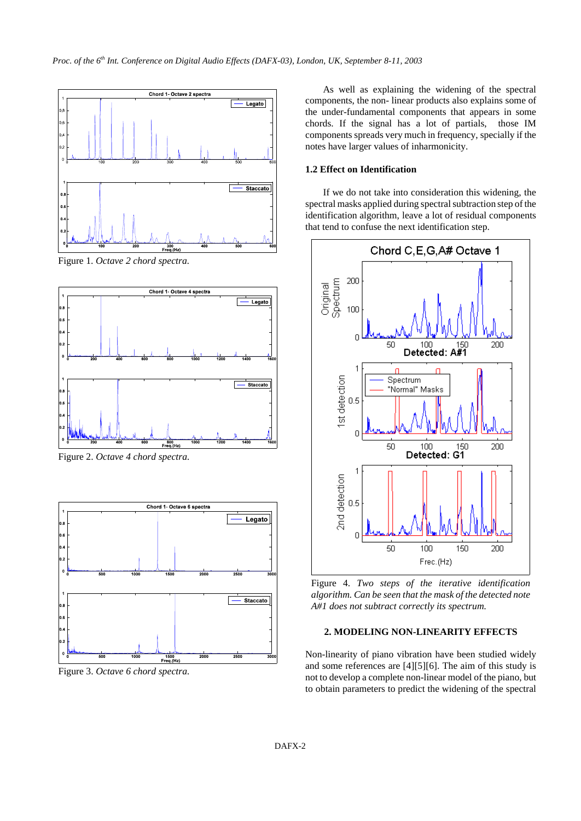

Figure 1. *Octave 2 chord spectra.*



Figure 2. *Octave 4 chord spectra.*



Figure 3. *Octave 6 chord spectra.*

As well as explaining the widening of the spectral components, the non- linear products also explains some of the under-fundamental components that appears in some chords. If the signal has a lot of partials, those IM components spreads very much in frequency, specially if the notes have larger values of inharmonicity.

## **1.2 Effect on Identification**

If we do not take into consideration this widening, the spectral masks applied during spectral subtraction step of the identification algorithm, leave a lot of residual components that tend to confuse the next identification step.



Figure 4. *Two steps of the iterative identification algorithm. Can be seen that the mask of the detected note A#1 does not subtract correctly its spectrum.*

## **2. MODELING NON-LINEARITY EFFECTS**

Non-linearity of piano vibration have been studied widely and some references are [4][5][6]. The aim of this study is not to develop a complete non-linear model of the piano, but to obtain parameters to predict the widening of the spectral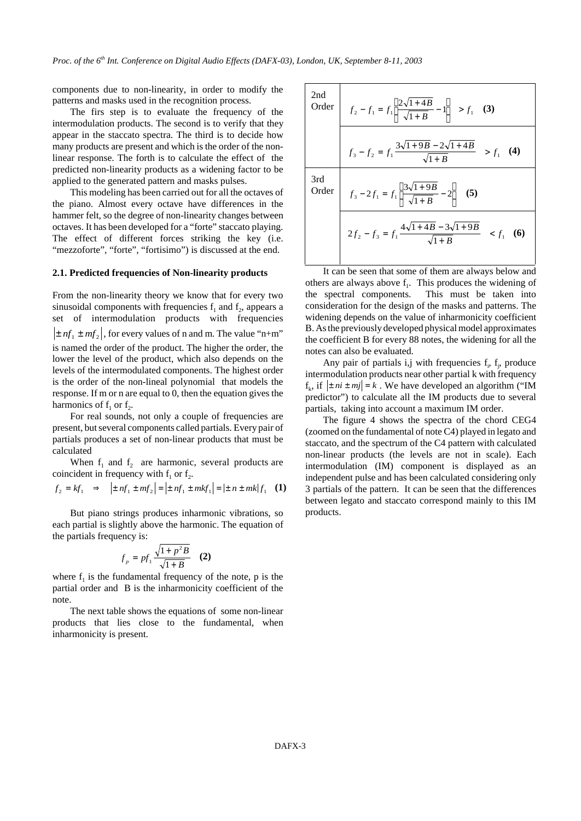components due to non-linearity, in order to modify the patterns and masks used in the recognition process.

The firs step is to evaluate the frequency of the intermodulation products. The second is to verify that they appear in the staccato spectra. The third is to decide how many products are present and which is the order of the nonlinear response. The forth is to calculate the effect of the predicted non-linearity products as a widening factor to be applied to the generated pattern and masks pulses.

This modeling has been carried out for all the octaves of the piano. Almost every octave have differences in the hammer felt, so the degree of non-linearity changes between octaves. It has been developed for a "forte" staccato playing. The effect of different forces striking the key (i.e. "mezzoforte", "forte", "fortisimo") is discussed at the end.

#### **2.1. Predicted frequencies of Non-linearity products**

From the non-linearity theory we know that for every two sinusoidal components with frequencies  $f_1$  and  $f_2$ , appears a set of intermodulation products with frequencies  $\pm nf_1 \pm mf_2$ , for every values of n and m. The value "n+m" is named the order of the product. The higher the order, the lower the level of the product, which also depends on the levels of the intermodulated components. The highest order is the order of the non-lineal polynomial that models the response. If m or n are equal to 0, then the equation gives the harmonics of  $f_1$  or  $f_2$ .

For real sounds, not only a couple of frequencies are present, but several components called partials. Every pair of partials produces a set of non-linear products that must be calculated

When  $f_1$  and  $f_2$  are harmonic, several products are coincident in frequency with  $f_1$  or  $f_2$ .

$$
f_2 = kf_1 \implies |\pm nf_1 \pm mf_2| = |\pm nf_1 \pm mkf_1| = |\pm n \pm mk|f_1
$$
 (1)

But piano strings produces inharmonic vibrations, so each partial is slightly above the harmonic. The equation of the partials frequency is:

$$
f_p = pf_1 \frac{\sqrt{1 + p^2 B}}{\sqrt{1 + B}} \quad (2)
$$

where  $f_1$  is the fundamental frequency of the note, p is the partial order and B is the inharmonicity coefficient of the note.

The next table shows the equations of some non-linear products that lies close to the fundamental, when inharmonicity is present.

| 2nd | Order $f_2 - f_1 = f_1 \left  \frac{2\sqrt{1+4B}}{\sqrt{1+B}} - 1 \right  > f_1$ (3)   |
|-----|----------------------------------------------------------------------------------------|
|     | $f_3 - f_2 = f_1 \frac{3\sqrt{1+9B} - 2\sqrt{1+4B}}{\sqrt{1+ B}} > f_1$ (4)            |
| 3rd | Order $f_3 - 2f_1 = f_1 \left  \frac{3\sqrt{1+9B}}{\sqrt{1+B}} - 2 \right $ (5)        |
|     | $2f_2 - f_3 = f_1 \frac{4\sqrt{1+4B} - 3\sqrt{1+9B}}{\sqrt{1+B}}$ < f <sub>1</sub> (6) |

It can be seen that some of them are always below and others are always above  $f_1$ . This produces the widening of the spectral components. This must be taken into consideration for the design of the masks and patterns. The widening depends on the value of inharmonicity coefficient B. As the previously developed physical model approximates the coefficient B for every 88 notes, the widening for all the notes can also be evaluated.

Any pair of partials i,j with frequencies  $f_i$ ,  $f_j$ , produce intermodulation products near other partial k with frequency  $f_k$ , if  $\vert \pm ni \pm mj \vert = k$ . We have developed an algorithm ("IM predictor") to calculate all the IM products due to several partials, taking into account a maximum IM order.

The figure 4 shows the spectra of the chord CEG4 (zoomed on the fundamental of note C4) played in legato and staccato, and the spectrum of the C4 pattern with calculated non-linear products (the levels are not in scale). Each intermodulation (IM) component is displayed as an independent pulse and has been calculated considering only 3 partials of the pattern. It can be seen that the differences between legato and staccato correspond mainly to this IM products.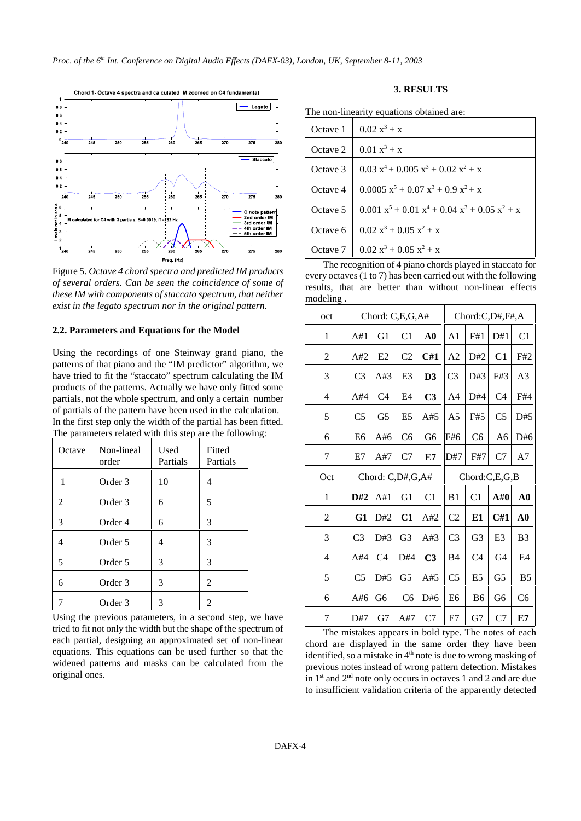

Figure 5. *Octave 4 chord spectra and predicted IM products of several orders. Can be seen the coincidence of some of these IM with components ofstaccato spectrum, that neither exist in the legato spectrum nor in the original pattern.*

#### **2.2. Parameters and Equations for the Model**

Using the recordings of one Steinway grand piano, the patterns of that piano and the "IM predictor" algorithm, we have tried to fit the "staccato" spectrum calculating the IM products of the patterns. Actually we have only fitted some partials, not the whole spectrum, and only a certain number of partials of the pattern have been used in the calculation. In the first step only the width of the partial has been fitted. The parameters related with this step are the following:

| Octave | Non-lineal<br>order | Used<br>Partials | Fitted<br>Partials |
|--------|---------------------|------------------|--------------------|
| 1      | Order 3             | 10               | 4                  |
| 2      | Order 3             | 6                | 5                  |
| 3      | Order 4             | 6                | 3                  |
| 4      | Order 5             | 4                | 3                  |
| 5      | Order 5             | 3                | 3                  |
| 6      | Order 3             | 3                | $\mathfrak{D}$     |
|        | Order <sub>3</sub>  | 3                | 2                  |

Using the previous parameters, in a second step, we have tried to fit not only the width but the shape of the spectrum of each partial, designing an approximated set of non-linear equations. This equations can be used further so that the widened patterns and masks can be calculated from the original ones.

# **3. RESULTS**

| Octave 1 | $0.02 x^3 + x$                                                                           |
|----------|------------------------------------------------------------------------------------------|
| Octave 2 | $0.01 x^3 + x$                                                                           |
| Octave 3 | $0.03 x^4 + 0.005 x^3 + 0.02 x^2 + x$                                                    |
| Octave 4 | $0.0005 x^5 + 0.07 x^3 + 0.9 x^2 + x$                                                    |
| Octave 5 | $0.001 \text{ x}^5 + 0.01 \text{ x}^4 + 0.04 \text{ x}^3 + 0.05 \text{ x}^2 + \text{ x}$ |
| Octave 6 | $0.02 x^3 + 0.05 x^2 + x$                                                                |
| Octave 7 | $0.02 x^3 + 0.05 x^2 + x$                                                                |
|          | .                                                                                        |

The recognition of 4 piano chords played in staccato for every octaves(1 to 7) has been carried out with the following results, that are better than without non-linear effects modeling .

| oct            |                | Chord: C,E,G,A#  |                |                |                |                | Chord:C,D#,F#,A |                |
|----------------|----------------|------------------|----------------|----------------|----------------|----------------|-----------------|----------------|
| 1              | A#1            | G1               | C1             | ${\bf A0}$     | A <sub>1</sub> | F#1            | D#1             | C <sub>1</sub> |
| $\overline{2}$ | A#2            | E2               | C <sub>2</sub> | C#1            | A <sub>2</sub> | D#2            | C1              | F#2            |
| 3              | C <sub>3</sub> | A#3              | E <sub>3</sub> | D <sub>3</sub> | C <sub>3</sub> | D#3            | F#3             | A <sub>3</sub> |
| 4              | A#4            | C <sub>4</sub>   | E <sub>4</sub> | C <sub>3</sub> | A <sub>4</sub> | D#4            | C <sub>4</sub>  | F#4            |
| 5              | C <sub>5</sub> | G <sub>5</sub>   | E <sub>5</sub> | A#5            | A <sub>5</sub> | F#5            | C <sub>5</sub>  | D#5            |
| 6              | E <sub>6</sub> | A#6              | C <sub>6</sub> | G6             | F#6            | C <sub>6</sub> | A6              | D#6            |
| 7              | E7             | A#7              | C7             | E7             | D#7            | F#7            | C7              | A7             |
| Oct            |                | Chord: C,D#,G,A# |                |                |                |                | Chord:C,E,G,B   |                |
| 1              | D#2            | A#1              | G1             | C <sub>1</sub> | B <sub>1</sub> | C <sub>1</sub> | A#0             | A <sub>0</sub> |
| 2              | G1             | D#2              | C1             | A#2            | C <sub>2</sub> | E1             | C#1             | ${\bf A0}$     |
| 3              | C <sub>3</sub> | D#3              | G <sub>3</sub> | A#3            | C <sub>3</sub> | G <sub>3</sub> | E <sub>3</sub>  | B <sub>3</sub> |
| $\overline{4}$ | A#4            | C <sub>4</sub>   | D#4            | C <sub>3</sub> | B <sub>4</sub> | C <sub>4</sub> | G4              | E4             |
| 5              | C <sub>5</sub> | D#5              | G <sub>5</sub> | A#5            | C <sub>5</sub> | E <sub>5</sub> | G <sub>5</sub>  | B <sub>5</sub> |
| 6              | A#6            | G6               | C <sub>6</sub> | D#6            | E <sub>6</sub> | <b>B6</b>      | G6              | C <sub>6</sub> |
| 7              | D#7            | G7               | A#7            | C7             | E7             | G7             | C7              | E7             |

The mistakes appears in bold type. The notes of each chord are displayed in the same order they have been identified, so a mistake in 4<sup>th</sup> note is due to wrong masking of previous notes instead of wrong pattern detection. Mistakes in  $1<sup>st</sup>$  and  $2<sup>nd</sup>$  note only occurs in octaves 1 and 2 and are due to insufficient validation criteria of the apparently detected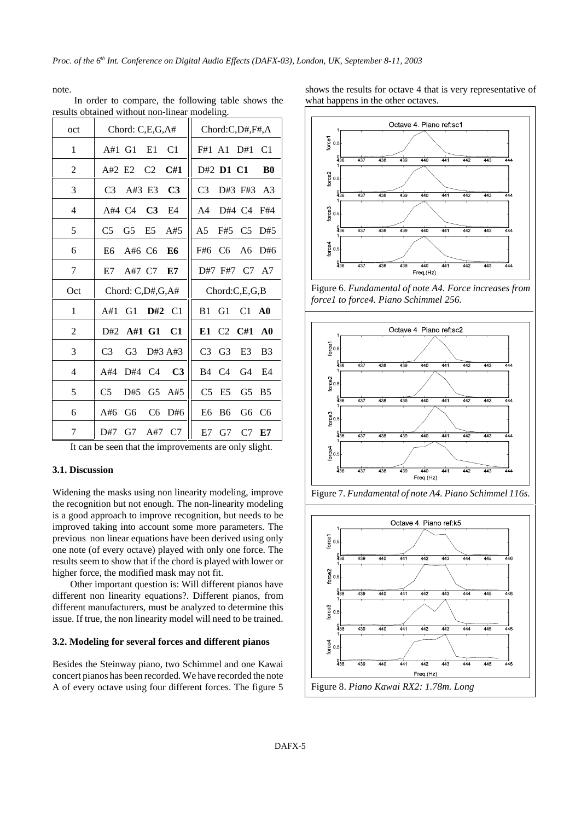note.

| oct            | Chord: C,E,G,A#                                           | Chord:C,D#,F#,A                                                      |
|----------------|-----------------------------------------------------------|----------------------------------------------------------------------|
| 1              | A#1 G1<br>E1<br>C <sub>1</sub>                            | C <sub>1</sub><br>F#1 A1<br>D#1                                      |
| $\overline{2}$ | $A#2$ E <sub>2</sub><br>C <sub>2</sub><br>C#1             | D#2 D1 C1<br><b>B</b> <sub>0</sub>                                   |
| 3              | C <sub>3</sub><br>C <sub>3</sub><br>A#3 E3                | C <sub>3</sub><br>D#3 F#3<br>A <sub>3</sub>                          |
| 4              | C <sub>3</sub><br>$A#4$ $C4$<br>E4                        | A <sub>4</sub><br>D#4 C4<br>F#4                                      |
| 5              | C <sub>5</sub><br>G <sub>5</sub><br>E <sub>5</sub><br>A#5 | C <sub>5</sub><br>A5<br>F#5<br>D#5                                   |
| 6              | A# $6\,$ C6<br>E6<br>E6                                   | C <sub>6</sub><br>F#6<br>A6<br>D#6                                   |
| 7              | E7<br>A#7 C7<br>E7                                        | D#7 F#7<br>C7 A7                                                     |
|                |                                                           |                                                                      |
| Oct            | Chord: C,D#,G,A#                                          | Chord:C,E,G,B                                                        |
| 1              | C <sub>1</sub><br>A#1<br>G1<br>D#2                        | C <sub>1</sub><br>B1<br>G1<br>$\bf{A0}$                              |
| 2              | A#1 G1<br>C1<br>D#2                                       | C <sub>2</sub><br>C#1<br>E1<br>$\bf{A0}$                             |
| 3              | C <sub>3</sub><br>G <sub>3</sub><br>D#3 A#3               | C <sub>3</sub><br>G <sub>3</sub><br>E <sub>3</sub><br>B <sub>3</sub> |
| 4              | C <sub>3</sub><br>D#4<br>C <sub>4</sub><br>A#4            | C <sub>4</sub><br>B <sub>4</sub><br>G <sub>4</sub><br>E4             |
| 5              | C <sub>5</sub><br>D#5<br>G5<br>A#5                        | C <sub>5</sub><br>E <sub>5</sub><br>G <sub>5</sub><br><b>B5</b>      |
| 6              | C <sub>6</sub><br>A# $6$<br>G6<br>D#6                     | E <sub>6</sub><br>B6<br>G6<br>C <sub>6</sub>                         |

In order to compare, the following table shows the results obtained without non-linear modeling.

It can be seen that the improvements are only slight.

## **3.1. Discussion**

Widening the masks using non linearity modeling, improve the recognition but not enough. The non-linearity modeling is a good approach to improve recognition, but needs to be improved taking into account some more parameters. The previous non linear equations have been derived using only one note (of every octave) played with only one force. The results seem to show that if the chord is played with lower or higher force, the modified mask may not fit.

Other important question is: Will different pianos have different non linearity equations?. Different pianos, from different manufacturers, must be analyzed to determine this issue. If true, the non linearity model will need to be trained.

#### **3.2. Modeling for several forces and different pianos**

Besides the Steinway piano, two Schimmel and one Kawai concert pianos has been recorded. We have recorded the note A of every octave using four different forces. The figure 5

shows the results for octave 4 that is very representative of what happens in the other octaves.



Figure 6. *Fundamental of note A4. Force increases from force1 to force4. Piano Schimmel 256.*





Figure 7. *Fundamental of note A4. Piano Schimmel 116s.*